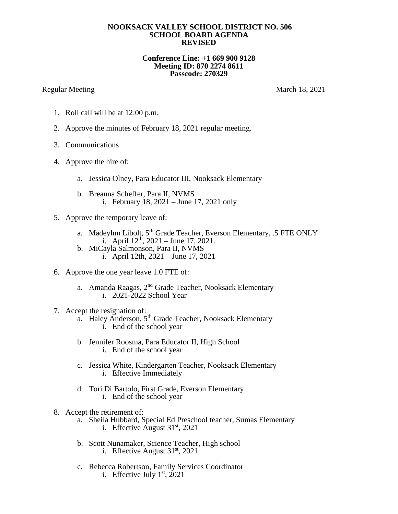## **NOOKSACK VALLEY SCHOOL DISTRICT NO. 506 SCHOOL BOARD AGENDA REVISED**

## **Conference Line: +1 669 900 9128 Meeting ID: 870 2274 8611 Passcode: 270329**

## Regular Meeting March 18, 2021

- 1. Roll call will be at 12:00 p.m.
- 2. Approve the minutes of February 18, 2021 regular meeting.
- 3. Communications
- 4. Approve the hire of:
	- a. Jessica Olney, Para Educator III, Nooksack Elementary
	- b. Breanna Scheffer, Para II, NVMS i. February 18, 2021 – June 17, 2021 only
- 5. Approve the temporary leave of:
	- a. Madeylnn Libolt, 5<sup>th</sup> Grade Teacher, Everson Elementary, .5 FTE ONLY i. April  $12^{th}$ ,  $2021 -$  June 17,  $2021$ .
	- b. MiCayla Salmonson, Para II, NVMS i. April 12th, 2021 – June 17, 2021
- 6. Approve the one year leave 1.0 FTE of:
	- a. Amanda Raagas, 2<sup>nd</sup> Grade Teacher, Nooksack Elementary i. 2021-2022 School Year
- 7. Accept the resignation of:
	- a. Haley Anderson, 5<sup>th</sup> Grade Teacher, Nooksack Elementary i. End of the school year
	- b. Jennifer Roosma, Para Educator II, High School i. End of the school year
	- c. Jessica White, Kindergarten Teacher, Nooksack Elementary i. Effective Immediately
	- d. Tori Di Bartolo, First Grade, Everson Elementary i. End of the school year
- 8. Accept the retirement of:
	- a. Sheila Hubbard, Special Ed Preschool teacher, Sumas Elementary i. Effective August  $31<sup>st</sup>$ , 2021
	- b. Scott Nunamaker, Science Teacher, High school i. Effective August  $31<sup>st</sup>$ , 2021
	- c. Rebecca Robertson, Family Services Coordinator
		- i. Effective July  $1<sup>st</sup>$ , 2021